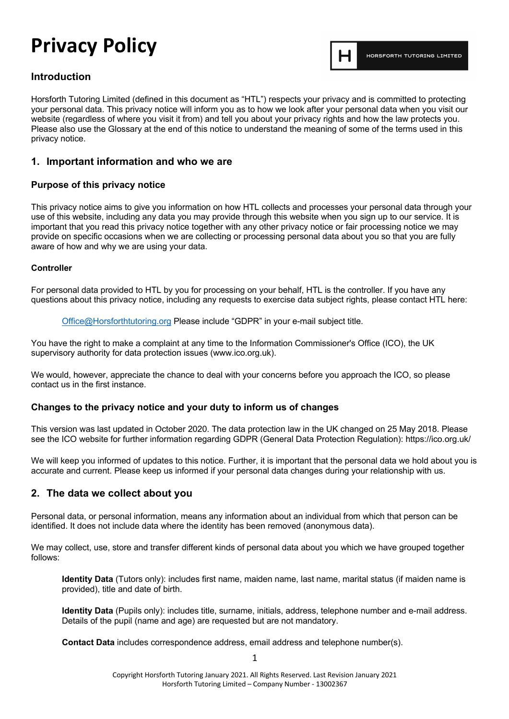# **Privacy Policy**

# **Introduction**

Horsforth Tutoring Limited (defined in this document as "HTL") respects your privacy and is committed to protecting your personal data. This privacy notice will inform you as to how we look after your personal data when you visit our website (regardless of where you visit it from) and tell you about your privacy rights and how the law protects you. Please also use the Glossary at the end of this notice to understand the meaning of some of the terms used in this privacy notice.

## **1. Important information and who we are**

## **Purpose of this privacy notice**

This privacy notice aims to give you information on how HTL collects and processes your personal data through your use of this website, including any data you may provide through this website when you sign up to our service. It is important that you read this privacy notice together with any other privacy notice or fair processing notice we may provide on specific occasions when we are collecting or processing personal data about you so that you are fully aware of how and why we are using your data.

#### **Controller**

For personal data provided to HTL by you for processing on your behalf, HTL is the controller. If you have any questions about this privacy notice, including any requests to exercise data subject rights, please contact HTL here:

Office@Horsforthtutoring.org Please include "GDPR" in your e-mail subject title.

You have the right to make a complaint at any time to the Information Commissioner's Office (ICO), the UK supervisory authority for data protection issues (www.ico.org.uk).

We would, however, appreciate the chance to deal with your concerns before you approach the ICO, so please contact us in the first instance.

### **Changes to the privacy notice and your duty to inform us of changes**

This version was last updated in October 2020. The data protection law in the UK changed on 25 May 2018. Please see the ICO website for further information regarding GDPR (General Data Protection Regulation): https://ico.org.uk/

We will keep you informed of updates to this notice. Further, it is important that the personal data we hold about you is accurate and current. Please keep us informed if your personal data changes during your relationship with us.

# **2. The data we collect about you**

Personal data, or personal information, means any information about an individual from which that person can be identified. It does not include data where the identity has been removed (anonymous data).

We may collect, use, store and transfer different kinds of personal data about you which we have grouped together follows:

**Identity Data** (Tutors only): includes first name, maiden name, last name, marital status (if maiden name is provided), title and date of birth.

**Identity Data** (Pupils only): includes title, surname, initials, address, telephone number and e-mail address. Details of the pupil (name and age) are requested but are not mandatory.

**Contact Data** includes correspondence address, email address and telephone number(s).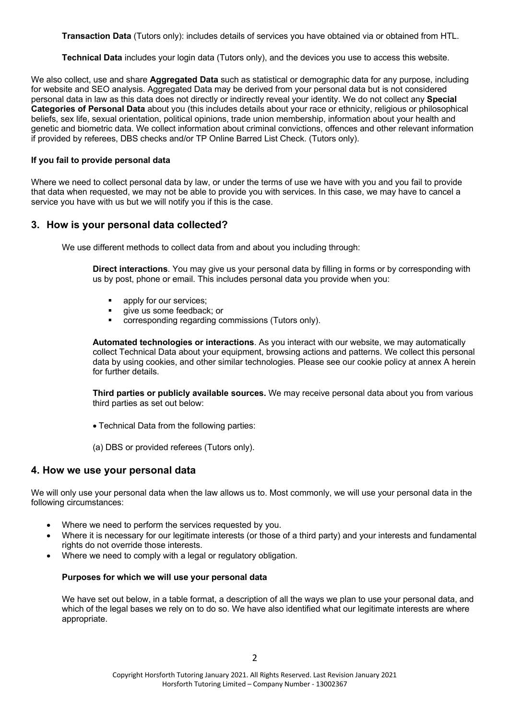**Transaction Data** (Tutors only): includes details of services you have obtained via or obtained from HTL.

**Technical Data** includes your login data (Tutors only), and the devices you use to access this website.

We also collect, use and share **Aggregated Data** such as statistical or demographic data for any purpose, including for website and SEO analysis. Aggregated Data may be derived from your personal data but is not considered personal data in law as this data does not directly or indirectly reveal your identity. We do not collect any **Special Categories of Personal Data** about you (this includes details about your race or ethnicity, religious or philosophical beliefs, sex life, sexual orientation, political opinions, trade union membership, information about your health and genetic and biometric data. We collect information about criminal convictions, offences and other relevant information if provided by referees, DBS checks and/or TP Online Barred List Check. (Tutors only).

## **If you fail to provide personal data**

Where we need to collect personal data by law, or under the terms of use we have with you and you fail to provide that data when requested, we may not be able to provide you with services. In this case, we may have to cancel a service you have with us but we will notify you if this is the case.

# **3. How is your personal data collected?**

We use different methods to collect data from and about you including through:

**Direct interactions**. You may give us your personal data by filling in forms or by corresponding with us by post, phone or email. This includes personal data you provide when you:

- apply for our services;
- § give us some feedback; or
- corresponding regarding commissions (Tutors only).

**Automated technologies or interactions**. As you interact with our website, we may automatically collect Technical Data about your equipment, browsing actions and patterns. We collect this personal data by using cookies, and other similar technologies. Please see our cookie policy at annex A herein for further details.

**Third parties or publicly available sources.** We may receive personal data about you from various third parties as set out below:

- Technical Data from the following parties:
- (a) DBS or provided referees (Tutors only).

# **4. How we use your personal data**

We will only use your personal data when the law allows us to. Most commonly, we will use your personal data in the following circumstances:

- Where we need to perform the services requested by you.
- Where it is necessary for our legitimate interests (or those of a third party) and your interests and fundamental rights do not override those interests.
- Where we need to comply with a legal or regulatory obligation.

### **Purposes for which we will use your personal data**

We have set out below, in a table format, a description of all the ways we plan to use your personal data, and which of the legal bases we rely on to do so. We have also identified what our legitimate interests are where appropriate.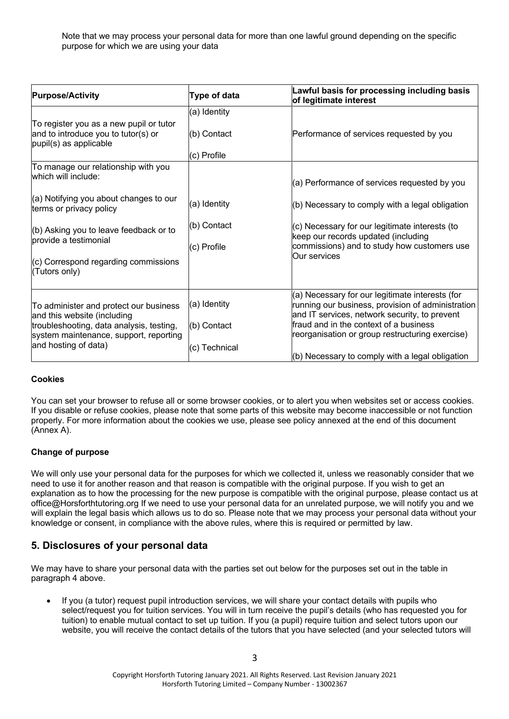Note that we may process your personal data for more than one lawful ground depending on the specific purpose for which we are using your data

| <b>Purpose/Activity</b>                                                                                    | Type of data  | Lawful basis for processing including basis<br>of legitimate interest                              |
|------------------------------------------------------------------------------------------------------------|---------------|----------------------------------------------------------------------------------------------------|
|                                                                                                            | (a) Identity  |                                                                                                    |
| To register you as a new pupil or tutor<br>and to introduce you to tutor(s) or<br>pupil(s) as applicable   | (b) Contact   | Performance of services requested by you                                                           |
|                                                                                                            | (c) Profile   |                                                                                                    |
| To manage our relationship with you                                                                        |               |                                                                                                    |
| which will include:                                                                                        |               | (a) Performance of services requested by you                                                       |
| (a) Notifying you about changes to our<br>terms or privacy policy                                          | (a) Identity  | (b) Necessary to comply with a legal obligation                                                    |
| (b) Asking you to leave feedback or to<br>provide a testimonial                                            | (b) Contact   | (c) Necessary for our legitimate interests (to<br>keep our records updated (including              |
|                                                                                                            | (c) Profile   | commissions) and to study how customers use                                                        |
| (c) Correspond regarding commissions<br>(Tutors only)                                                      |               | Our services                                                                                       |
|                                                                                                            |               | (a) Necessary for our legitimate interests (for                                                    |
| To administer and protect our business<br>and this website (including                                      | (a) Identity  | running our business, provision of administration<br>and IT services, network security, to prevent |
| troubleshooting, data analysis, testing,<br>system maintenance, support, reporting<br>and hosting of data) | (b) Contact   | fraud and in the context of a business<br>reorganisation or group restructuring exercise)          |
|                                                                                                            | (c) Technical |                                                                                                    |
|                                                                                                            |               | (b) Necessary to comply with a legal obligation                                                    |

### **Cookies**

You can set your browser to refuse all or some browser cookies, or to alert you when websites set or access cookies. If you disable or refuse cookies, please note that some parts of this website may become inaccessible or not function properly. For more information about the cookies we use, please see policy annexed at the end of this document (Annex A).

# **Change of purpose**

We will only use your personal data for the purposes for which we collected it, unless we reasonably consider that we need to use it for another reason and that reason is compatible with the original purpose. If you wish to get an explanation as to how the processing for the new purpose is compatible with the original purpose, please contact us at office@Horsforthtutoring.org If we need to use your personal data for an unrelated purpose, we will notify you and we will explain the legal basis which allows us to do so. Please note that we may process your personal data without your knowledge or consent, in compliance with the above rules, where this is required or permitted by law.

# **5. Disclosures of your personal data**

We may have to share your personal data with the parties set out below for the purposes set out in the table in paragraph 4 above.

• If you (a tutor) request pupil introduction services, we will share your contact details with pupils who select/request you for tuition services. You will in turn receive the pupil's details (who has requested you for tuition) to enable mutual contact to set up tuition. If you (a pupil) require tuition and select tutors upon our website, you will receive the contact details of the tutors that you have selected (and your selected tutors will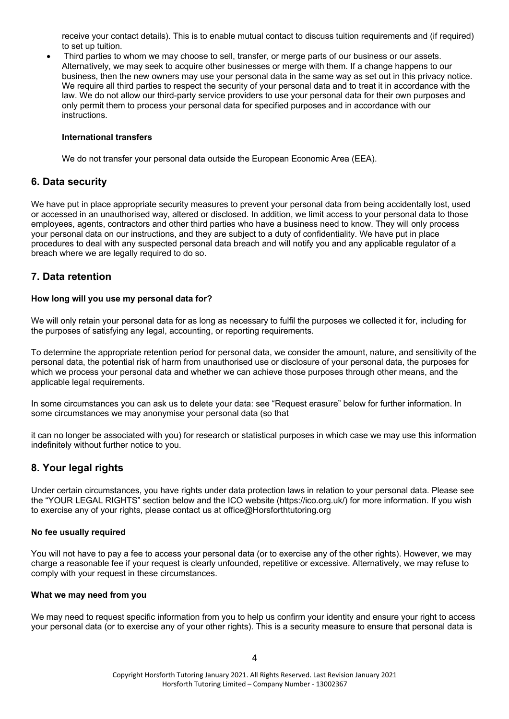receive your contact details). This is to enable mutual contact to discuss tuition requirements and (if required) to set up tuition.

• Third parties to whom we may choose to sell, transfer, or merge parts of our business or our assets. Alternatively, we may seek to acquire other businesses or merge with them. If a change happens to our business, then the new owners may use your personal data in the same way as set out in this privacy notice. We require all third parties to respect the security of your personal data and to treat it in accordance with the law. We do not allow our third-party service providers to use your personal data for their own purposes and only permit them to process your personal data for specified purposes and in accordance with our instructions.

#### **International transfers**

We do not transfer your personal data outside the European Economic Area (EEA).

# **6. Data security**

We have put in place appropriate security measures to prevent your personal data from being accidentally lost, used or accessed in an unauthorised way, altered or disclosed. In addition, we limit access to your personal data to those employees, agents, contractors and other third parties who have a business need to know. They will only process your personal data on our instructions, and they are subject to a duty of confidentiality. We have put in place procedures to deal with any suspected personal data breach and will notify you and any applicable regulator of a breach where we are legally required to do so.

# **7. Data retention**

#### **How long will you use my personal data for?**

We will only retain your personal data for as long as necessary to fulfil the purposes we collected it for, including for the purposes of satisfying any legal, accounting, or reporting requirements.

To determine the appropriate retention period for personal data, we consider the amount, nature, and sensitivity of the personal data, the potential risk of harm from unauthorised use or disclosure of your personal data, the purposes for which we process your personal data and whether we can achieve those purposes through other means, and the applicable legal requirements.

In some circumstances you can ask us to delete your data: see "Request erasure" below for further information. In some circumstances we may anonymise your personal data (so that

it can no longer be associated with you) for research or statistical purposes in which case we may use this information indefinitely without further notice to you.

# **8. Your legal rights**

Under certain circumstances, you have rights under data protection laws in relation to your personal data. Please see the "YOUR LEGAL RIGHTS" section below and the ICO website (https://ico.org.uk/) for more information. If you wish to exercise any of your rights, please contact us at office@Horsforthtutoring.org

#### **No fee usually required**

You will not have to pay a fee to access your personal data (or to exercise any of the other rights). However, we may charge a reasonable fee if your request is clearly unfounded, repetitive or excessive. Alternatively, we may refuse to comply with your request in these circumstances.

#### **What we may need from you**

We may need to request specific information from you to help us confirm your identity and ensure your right to access your personal data (or to exercise any of your other rights). This is a security measure to ensure that personal data is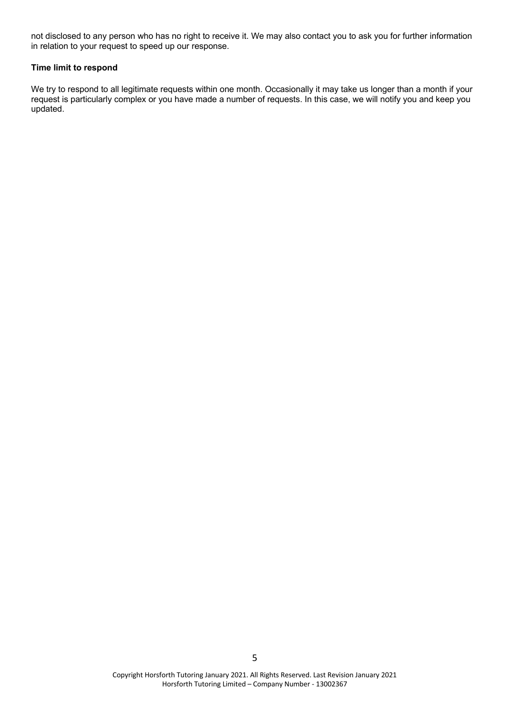not disclosed to any person who has no right to receive it. We may also contact you to ask you for further information in relation to your request to speed up our response.

#### **Time limit to respond**

We try to respond to all legitimate requests within one month. Occasionally it may take us longer than a month if your request is particularly complex or you have made a number of requests. In this case, we will notify you and keep you updated.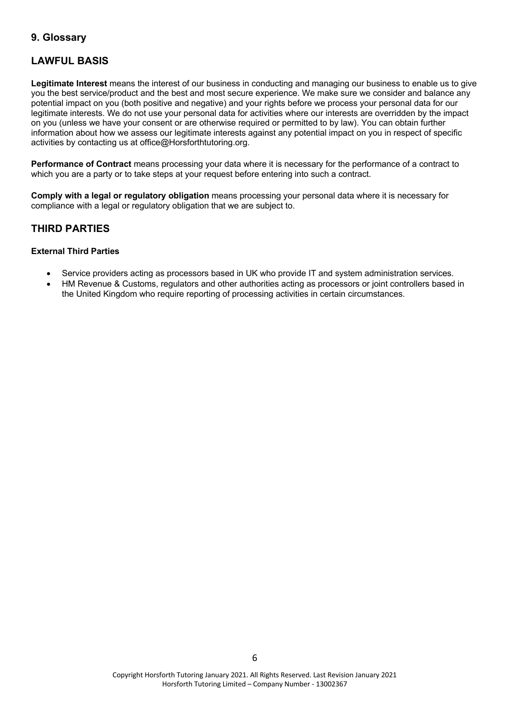# **9. Glossary**

# **LAWFUL BASIS**

**Legitimate Interest** means the interest of our business in conducting and managing our business to enable us to give you the best service/product and the best and most secure experience. We make sure we consider and balance any potential impact on you (both positive and negative) and your rights before we process your personal data for our legitimate interests. We do not use your personal data for activities where our interests are overridden by the impact on you (unless we have your consent or are otherwise required or permitted to by law). You can obtain further information about how we assess our legitimate interests against any potential impact on you in respect of specific activities by contacting us at office@Horsforthtutoring.org.

**Performance of Contract** means processing your data where it is necessary for the performance of a contract to which you are a party or to take steps at your request before entering into such a contract.

**Comply with a legal or regulatory obligation** means processing your personal data where it is necessary for compliance with a legal or regulatory obligation that we are subject to.

# **THIRD PARTIES**

#### **External Third Parties**

- Service providers acting as processors based in UK who provide IT and system administration services.
- HM Revenue & Customs, regulators and other authorities acting as processors or joint controllers based in the United Kingdom who require reporting of processing activities in certain circumstances.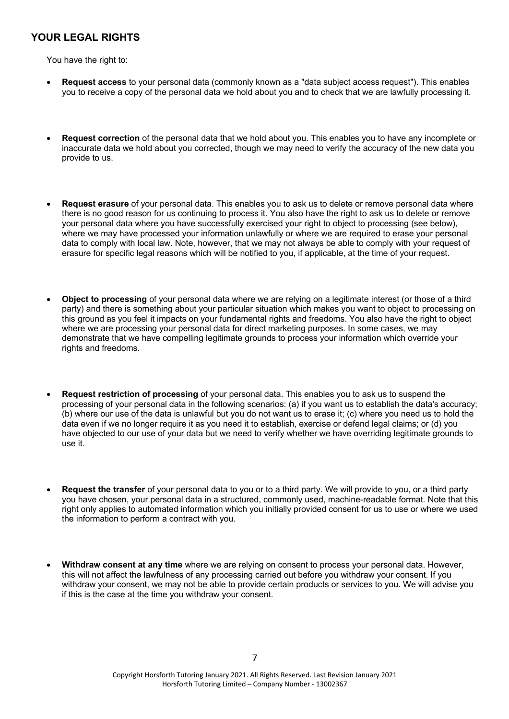# **YOUR LEGAL RIGHTS**

You have the right to:

- **Request access** to your personal data (commonly known as a "data subject access request"). This enables you to receive a copy of the personal data we hold about you and to check that we are lawfully processing it.
- **Request correction** of the personal data that we hold about you. This enables you to have any incomplete or inaccurate data we hold about you corrected, though we may need to verify the accuracy of the new data you provide to us.
- **Request erasure** of your personal data. This enables you to ask us to delete or remove personal data where there is no good reason for us continuing to process it. You also have the right to ask us to delete or remove your personal data where you have successfully exercised your right to object to processing (see below), where we may have processed your information unlawfully or where we are required to erase your personal data to comply with local law. Note, however, that we may not always be able to comply with your request of erasure for specific legal reasons which will be notified to you, if applicable, at the time of your request.
- **Object to processing** of your personal data where we are relying on a legitimate interest (or those of a third party) and there is something about your particular situation which makes you want to object to processing on this ground as you feel it impacts on your fundamental rights and freedoms. You also have the right to object where we are processing your personal data for direct marketing purposes. In some cases, we may demonstrate that we have compelling legitimate grounds to process your information which override your rights and freedoms.
- **Request restriction of processing** of your personal data. This enables you to ask us to suspend the processing of your personal data in the following scenarios: (a) if you want us to establish the data's accuracy; (b) where our use of the data is unlawful but you do not want us to erase it; (c) where you need us to hold the data even if we no longer require it as you need it to establish, exercise or defend legal claims; or (d) you have objected to our use of your data but we need to verify whether we have overriding legitimate grounds to use it.
- **Request the transfer** of your personal data to you or to a third party. We will provide to you, or a third party you have chosen, your personal data in a structured, commonly used, machine-readable format. Note that this right only applies to automated information which you initially provided consent for us to use or where we used the information to perform a contract with you.
- **Withdraw consent at any time** where we are relying on consent to process your personal data. However, this will not affect the lawfulness of any processing carried out before you withdraw your consent. If you withdraw your consent, we may not be able to provide certain products or services to you. We will advise you if this is the case at the time you withdraw your consent.